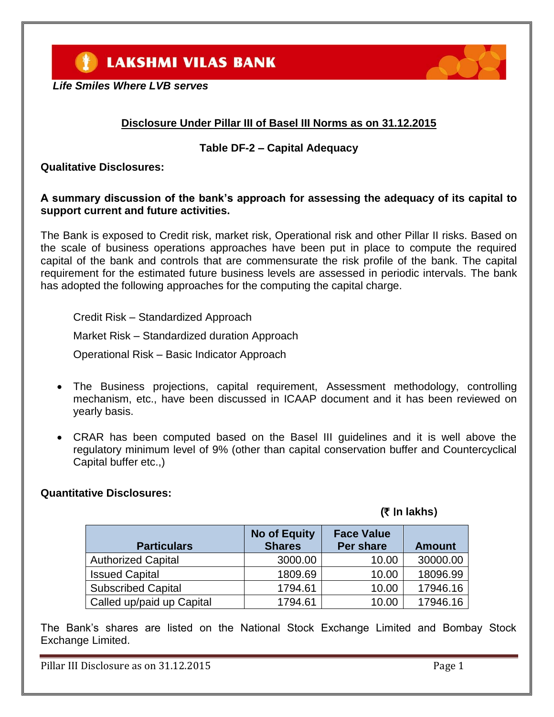**LAKSHMI VILAS BANK** 



# **Disclosure Under Pillar III of Basel III Norms as on 31.12.2015**

### **Table DF-2 – Capital Adequacy**

**Qualitative Disclosures:**

### **A summary discussion of the bank's approach for assessing the adequacy of its capital to support current and future activities.**

The Bank is exposed to Credit risk, market risk, Operational risk and other Pillar II risks. Based on the scale of business operations approaches have been put in place to compute the required capital of the bank and controls that are commensurate the risk profile of the bank. The capital requirement for the estimated future business levels are assessed in periodic intervals. The bank has adopted the following approaches for the computing the capital charge.

Credit Risk – Standardized Approach

Market Risk – Standardized duration Approach

Operational Risk – Basic Indicator Approach

- The Business projections, capital requirement, Assessment methodology, controlling mechanism, etc., have been discussed in ICAAP document and it has been reviewed on yearly basis.
- CRAR has been computed based on the Basel III guidelines and it is well above the regulatory minimum level of 9% (other than capital conservation buffer and Countercyclical Capital buffer etc.,)

### **Quantitative Disclosures:**

# **(**` I**n lakhs**)

| <b>Particulars</b>        | <b>No of Equity</b><br><b>Shares</b> | <b>Face Value</b><br><b>Per share</b> | <b>Amount</b> |
|---------------------------|--------------------------------------|---------------------------------------|---------------|
| <b>Authorized Capital</b> | 3000.00                              | 10.00                                 | 30000.00      |
| <b>Issued Capital</b>     | 1809.69                              | 10.00                                 | 18096.99      |
| <b>Subscribed Capital</b> | 1794.61                              | 10.00                                 | 17946.16      |
| Called up/paid up Capital | 1794.61                              | 10.00                                 | 17946.16      |

The Bank's shares are listed on the National Stock Exchange Limited and Bombay Stock Exchange Limited.

Pillar III Disclosure as on 31.12.2015

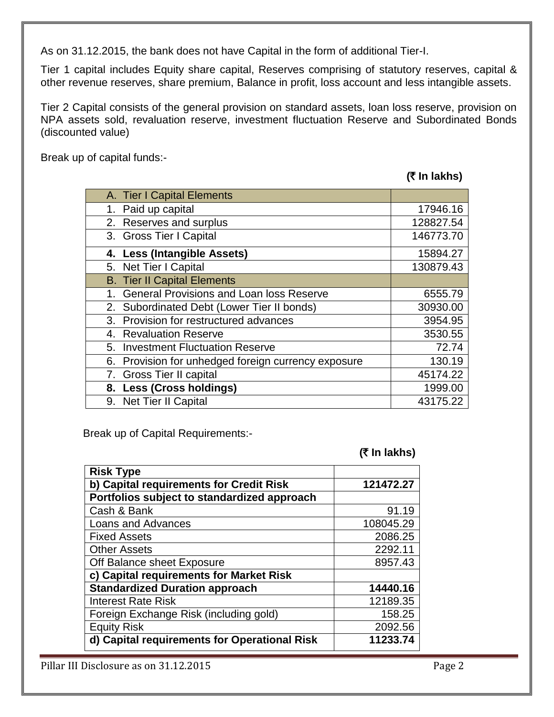As on 31.12.2015, the bank does not have Capital in the form of additional Tier-I.

Tier 1 capital includes Equity share capital, Reserves comprising of statutory reserves, capital & other revenue reserves, share premium, Balance in profit, loss account and less intangible assets.

Tier 2 Capital consists of the general provision on standard assets, loan loss reserve, provision on NPA assets sold, revaluation reserve, investment fluctuation Reserve and Subordinated Bonds (discounted value)

Break up of capital funds:-

**(**` **In lakhs)**

| A. Tier I Capital Elements                          |           |
|-----------------------------------------------------|-----------|
| 1. Paid up capital                                  | 17946.16  |
| 2. Reserves and surplus                             | 128827.54 |
| 3. Gross Tier I Capital                             | 146773.70 |
| 4. Less (Intangible Assets)                         | 15894.27  |
| 5. Net Tier I Capital                               | 130879.43 |
| <b>B. Tier II Capital Elements</b>                  |           |
| 1. General Provisions and Loan loss Reserve         | 6555.79   |
| 2. Subordinated Debt (Lower Tier II bonds)          | 30930.00  |
| 3. Provision for restructured advances              | 3954.95   |
| 4. Revaluation Reserve                              | 3530.55   |
| 5. Investment Fluctuation Reserve                   | 72.74     |
| 6. Provision for unhedged foreign currency exposure | 130.19    |
| 7. Gross Tier II capital                            | 45174.22  |
| 8. Less (Cross holdings)                            | 1999.00   |
| 9. Net Tier II Capital                              | 43175.22  |

Break up of Capital Requirements:-

**(**` **In lakhs)**

| <b>Risk Type</b>                             |           |
|----------------------------------------------|-----------|
| b) Capital requirements for Credit Risk      | 121472.27 |
| Portfolios subject to standardized approach  |           |
| Cash & Bank                                  | 91.19     |
| <b>Loans and Advances</b>                    | 108045.29 |
| <b>Fixed Assets</b>                          | 2086.25   |
| <b>Other Assets</b>                          | 2292.11   |
| Off Balance sheet Exposure                   | 8957.43   |
| c) Capital requirements for Market Risk      |           |
| <b>Standardized Duration approach</b>        | 14440.16  |
| <b>Interest Rate Risk</b>                    | 12189.35  |
| Foreign Exchange Risk (including gold)       | 158.25    |
| <b>Equity Risk</b>                           | 2092.56   |
| d) Capital requirements for Operational Risk | 11233.74  |

Pillar III Disclosure as on 31.12.2015 Page 2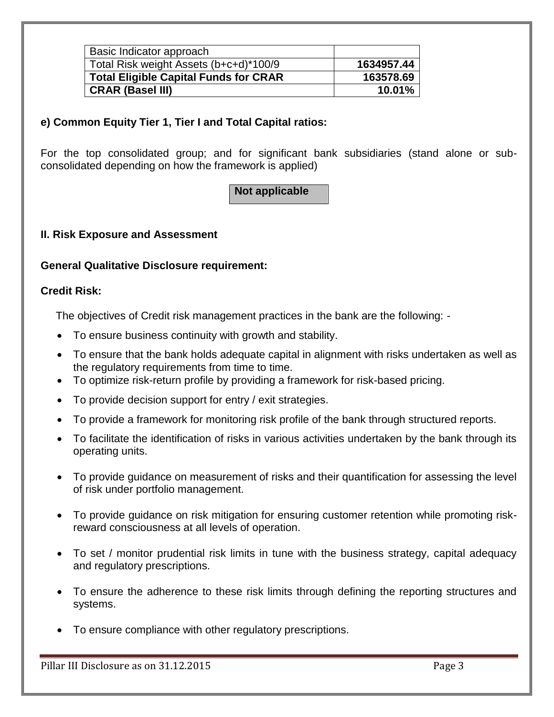| Basic Indicator approach                     |            |
|----------------------------------------------|------------|
| Total Risk weight Assets (b+c+d)*100/9       | 1634957.44 |
| <b>Total Eligible Capital Funds for CRAR</b> | 163578.69  |
| <b>CRAR (Basel III)</b>                      | 10.01%     |

# **e) Common Equity Tier 1, Tier I and Total Capital ratios:**

For the top consolidated group; and for significant bank subsidiaries (stand alone or subconsolidated depending on how the framework is applied)

**Not applicable**

# **II. Risk Exposure and Assessment**

### **General Qualitative Disclosure requirement:**

### **Credit Risk:**

The objectives of Credit risk management practices in the bank are the following: -

- To ensure business continuity with growth and stability.
- To ensure that the bank holds adequate capital in alignment with risks undertaken as well as the regulatory requirements from time to time.
- To optimize risk-return profile by providing a framework for risk-based pricing.
- To provide decision support for entry / exit strategies.
- To provide a framework for monitoring risk profile of the bank through structured reports.
- To facilitate the identification of risks in various activities undertaken by the bank through its operating units.
- To provide guidance on measurement of risks and their quantification for assessing the level of risk under portfolio management.
- To provide guidance on risk mitigation for ensuring customer retention while promoting riskreward consciousness at all levels of operation.
- To set / monitor prudential risk limits in tune with the business strategy, capital adequacy and regulatory prescriptions.
- To ensure the adherence to these risk limits through defining the reporting structures and systems.
- To ensure compliance with other regulatory prescriptions.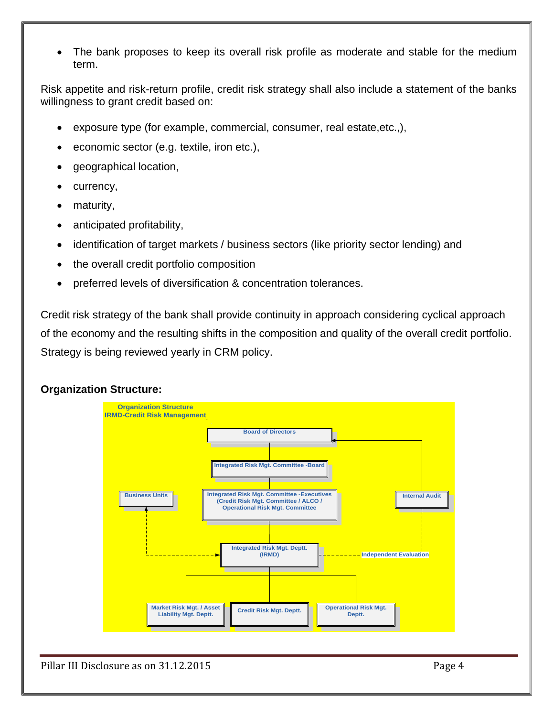The bank proposes to keep its overall risk profile as moderate and stable for the medium term.

Risk appetite and risk-return profile, credit risk strategy shall also include a statement of the banks willingness to grant credit based on:

- exposure type (for example, commercial, consumer, real estate,etc.,),
- economic sector (e.g. textile, iron etc.),
- geographical location,
- currency,
- maturity,
- anticipated profitability,
- identification of target markets / business sectors (like priority sector lending) and
- the overall credit portfolio composition
- preferred levels of diversification & concentration tolerances.

Credit risk strategy of the bank shall provide continuity in approach considering cyclical approach of the economy and the resulting shifts in the composition and quality of the overall credit portfolio. Strategy is being reviewed yearly in CRM policy.

# **Organization Structure:**

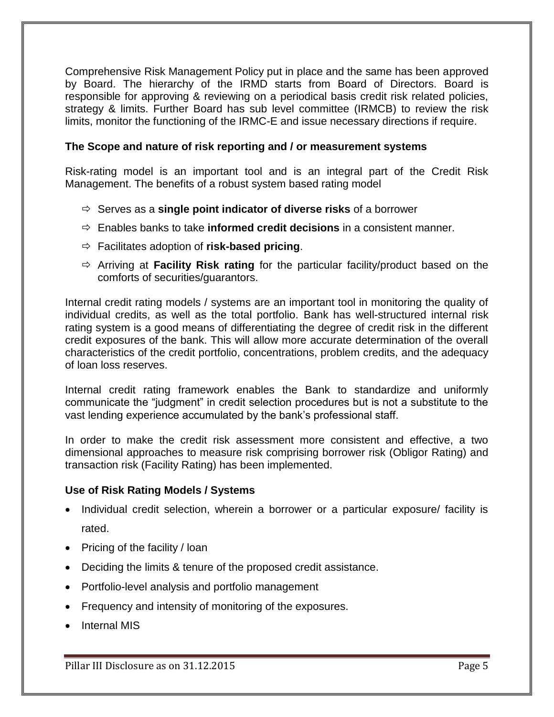Comprehensive Risk Management Policy put in place and the same has been approved by Board. The hierarchy of the IRMD starts from Board of Directors. Board is responsible for approving & reviewing on a periodical basis credit risk related policies, strategy & limits. Further Board has sub level committee (IRMCB) to review the risk limits, monitor the functioning of the IRMC-E and issue necessary directions if require.

### **The Scope and nature of risk reporting and / or measurement systems**

Risk-rating model is an important tool and is an integral part of the Credit Risk Management. The benefits of a robust system based rating model

- Serves as a **single point indicator of diverse risks** of a borrower
- $\Rightarrow$  Enables banks to take **informed credit decisions** in a consistent manner.
- Facilitates adoption of **risk-based pricing**.
- Arriving at **Facility Risk rating** for the particular facility/product based on the comforts of securities/guarantors.

Internal credit rating models / systems are an important tool in monitoring the quality of individual credits, as well as the total portfolio. Bank has well-structured internal risk rating system is a good means of differentiating the degree of credit risk in the different credit exposures of the bank. This will allow more accurate determination of the overall characteristics of the credit portfolio, concentrations, problem credits, and the adequacy of loan loss reserves.

Internal credit rating framework enables the Bank to standardize and uniformly communicate the "judgment" in credit selection procedures but is not a substitute to the vast lending experience accumulated by the bank's professional staff.

In order to make the credit risk assessment more consistent and effective, a two dimensional approaches to measure risk comprising borrower risk (Obligor Rating) and transaction risk (Facility Rating) has been implemented.

### **Use of Risk Rating Models / Systems**

- Individual credit selection, wherein a borrower or a particular exposure/ facility is rated.
- Pricing of the facility / loan
- Deciding the limits & tenure of the proposed credit assistance.
- Portfolio-level analysis and portfolio management
- Frequency and intensity of monitoring of the exposures.
- Internal MIS

Pillar III Disclosure as on 31.12.2015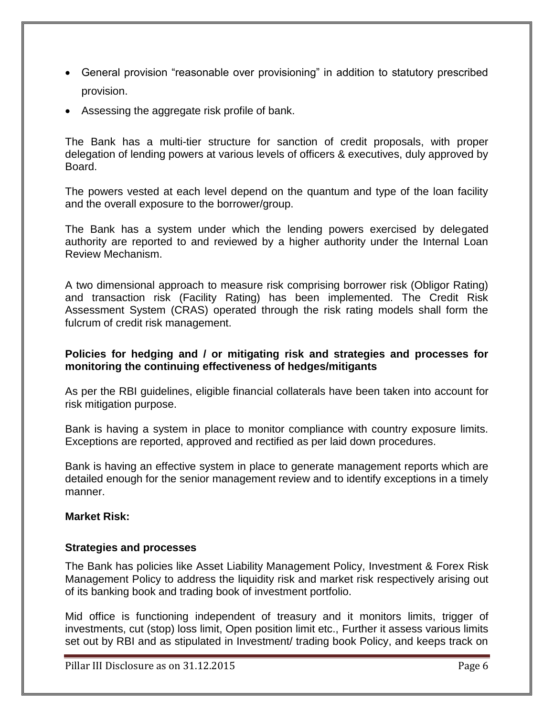- General provision "reasonable over provisioning" in addition to statutory prescribed provision.
- Assessing the aggregate risk profile of bank.

The Bank has a multi-tier structure for sanction of credit proposals, with proper delegation of lending powers at various levels of officers & executives, duly approved by Board.

The powers vested at each level depend on the quantum and type of the loan facility and the overall exposure to the borrower/group.

The Bank has a system under which the lending powers exercised by delegated authority are reported to and reviewed by a higher authority under the Internal Loan Review Mechanism.

A two dimensional approach to measure risk comprising borrower risk (Obligor Rating) and transaction risk (Facility Rating) has been implemented. The Credit Risk Assessment System (CRAS) operated through the risk rating models shall form the fulcrum of credit risk management.

### **Policies for hedging and / or mitigating risk and strategies and processes for monitoring the continuing effectiveness of hedges/mitigants**

As per the RBI guidelines, eligible financial collaterals have been taken into account for risk mitigation purpose.

Bank is having a system in place to monitor compliance with country exposure limits. Exceptions are reported, approved and rectified as per laid down procedures.

Bank is having an effective system in place to generate management reports which are detailed enough for the senior management review and to identify exceptions in a timely manner.

### **Market Risk:**

### **Strategies and processes**

The Bank has policies like Asset Liability Management Policy, Investment & Forex Risk Management Policy to address the liquidity risk and market risk respectively arising out of its banking book and trading book of investment portfolio.

Mid office is functioning independent of treasury and it monitors limits, trigger of investments, cut (stop) loss limit, Open position limit etc., Further it assess various limits set out by RBI and as stipulated in Investment/ trading book Policy, and keeps track on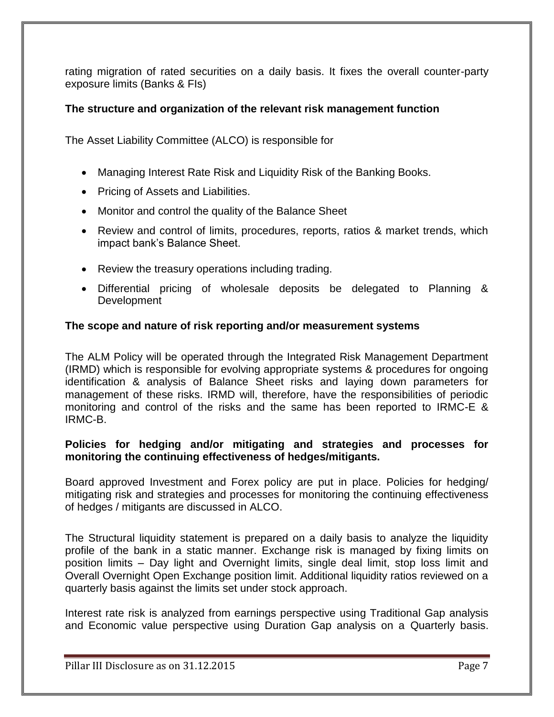rating migration of rated securities on a daily basis. It fixes the overall counter-party exposure limits (Banks & FIs)

### **The structure and organization of the relevant risk management function**

The Asset Liability Committee (ALCO) is responsible for

- Managing Interest Rate Risk and Liquidity Risk of the Banking Books.
- Pricing of Assets and Liabilities.
- Monitor and control the quality of the Balance Sheet
- Review and control of limits, procedures, reports, ratios & market trends, which impact bank's Balance Sheet.
- Review the treasury operations including trading.
- Differential pricing of wholesale deposits be delegated to Planning & **Development**

### **The scope and nature of risk reporting and/or measurement systems**

The ALM Policy will be operated through the Integrated Risk Management Department (IRMD) which is responsible for evolving appropriate systems & procedures for ongoing identification & analysis of Balance Sheet risks and laying down parameters for management of these risks. IRMD will, therefore, have the responsibilities of periodic monitoring and control of the risks and the same has been reported to IRMC-E & IRMC-B.

#### **Policies for hedging and/or mitigating and strategies and processes for monitoring the continuing effectiveness of hedges/mitigants.**

Board approved Investment and Forex policy are put in place. Policies for hedging/ mitigating risk and strategies and processes for monitoring the continuing effectiveness of hedges / mitigants are discussed in ALCO.

The Structural liquidity statement is prepared on a daily basis to analyze the liquidity profile of the bank in a static manner. Exchange risk is managed by fixing limits on position limits – Day light and Overnight limits, single deal limit, stop loss limit and Overall Overnight Open Exchange position limit. Additional liquidity ratios reviewed on a quarterly basis against the limits set under stock approach.

Interest rate risk is analyzed from earnings perspective using Traditional Gap analysis and Economic value perspective using Duration Gap analysis on a Quarterly basis.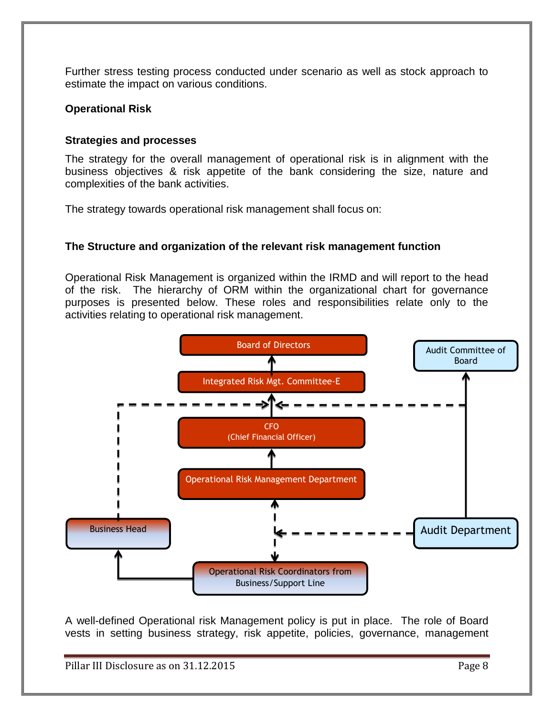Further stress testing process conducted under scenario as well as stock approach to estimate the impact on various conditions.

### **Operational Risk**

### **Strategies and processes**

The strategy for the overall management of operational risk is in alignment with the business objectives & risk appetite of the bank considering the size, nature and complexities of the bank activities.

The strategy towards operational risk management shall focus on:

### **The Structure and organization of the relevant risk management function**

Operational Risk Management is organized within the IRMD and will report to the head of the risk. The hierarchy of ORM within the organizational chart for governance purposes is presented below. These roles and responsibilities relate only to the activities relating to operational risk management.



A well-defined Operational risk Management policy is put in place. The role of Board vests in setting business strategy, risk appetite, policies, governance, management

Pillar III Disclosure as on 31.12.2015 Page 8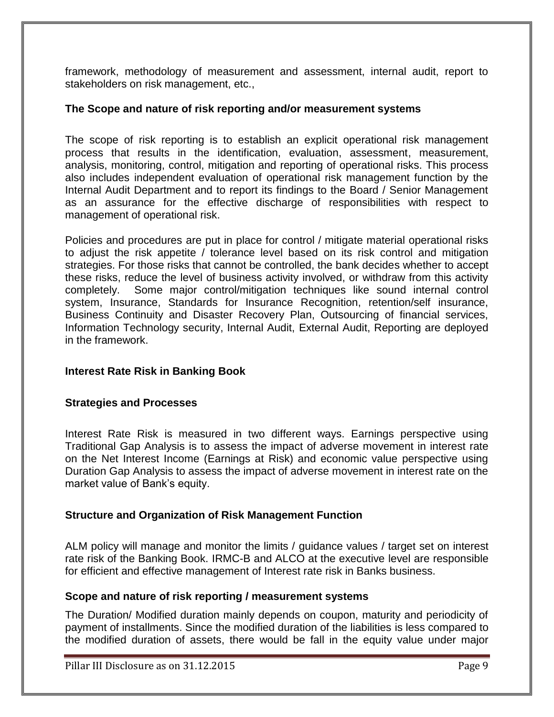framework, methodology of measurement and assessment, internal audit, report to stakeholders on risk management, etc.,

#### **The Scope and nature of risk reporting and/or measurement systems**

The scope of risk reporting is to establish an explicit operational risk management process that results in the identification, evaluation, assessment, measurement, analysis, monitoring, control, mitigation and reporting of operational risks. This process also includes independent evaluation of operational risk management function by the Internal Audit Department and to report its findings to the Board / Senior Management as an assurance for the effective discharge of responsibilities with respect to management of operational risk.

Policies and procedures are put in place for control / mitigate material operational risks to adjust the risk appetite / tolerance level based on its risk control and mitigation strategies. For those risks that cannot be controlled, the bank decides whether to accept these risks, reduce the level of business activity involved, or withdraw from this activity completely. Some major control/mitigation techniques like sound internal control system, Insurance, Standards for Insurance Recognition, retention/self insurance, Business Continuity and Disaster Recovery Plan, Outsourcing of financial services, Information Technology security, Internal Audit, External Audit, Reporting are deployed in the framework.

### **Interest Rate Risk in Banking Book**

#### **Strategies and Processes**

Interest Rate Risk is measured in two different ways. Earnings perspective using Traditional Gap Analysis is to assess the impact of adverse movement in interest rate on the Net Interest Income (Earnings at Risk) and economic value perspective using Duration Gap Analysis to assess the impact of adverse movement in interest rate on the market value of Bank's equity.

### **Structure and Organization of Risk Management Function**

ALM policy will manage and monitor the limits / guidance values / target set on interest rate risk of the Banking Book. IRMC-B and ALCO at the executive level are responsible for efficient and effective management of Interest rate risk in Banks business.

#### **Scope and nature of risk reporting / measurement systems**

The Duration/ Modified duration mainly depends on coupon, maturity and periodicity of payment of installments. Since the modified duration of the liabilities is less compared to the modified duration of assets, there would be fall in the equity value under major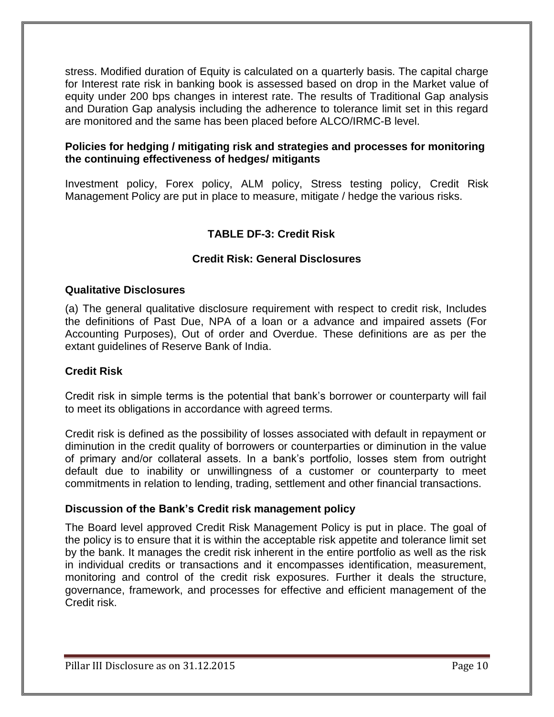stress. Modified duration of Equity is calculated on a quarterly basis. The capital charge for Interest rate risk in banking book is assessed based on drop in the Market value of equity under 200 bps changes in interest rate. The results of Traditional Gap analysis and Duration Gap analysis including the adherence to tolerance limit set in this regard are monitored and the same has been placed before ALCO/IRMC-B level.

### **Policies for hedging / mitigating risk and strategies and processes for monitoring the continuing effectiveness of hedges/ mitigants**

Investment policy, Forex policy, ALM policy, Stress testing policy, Credit Risk Management Policy are put in place to measure, mitigate / hedge the various risks.

# **TABLE DF-3: Credit Risk**

### **Credit Risk: General Disclosures**

### **Qualitative Disclosures**

(a) The general qualitative disclosure requirement with respect to credit risk, Includes the definitions of Past Due, NPA of a loan or a advance and impaired assets (For Accounting Purposes), Out of order and Overdue. These definitions are as per the extant guidelines of Reserve Bank of India.

### **Credit Risk**

Credit risk in simple terms is the potential that bank's borrower or counterparty will fail to meet its obligations in accordance with agreed terms.

Credit risk is defined as the possibility of losses associated with default in repayment or diminution in the credit quality of borrowers or counterparties or diminution in the value of primary and/or collateral assets. In a bank's portfolio, losses stem from outright default due to inability or unwillingness of a customer or counterparty to meet commitments in relation to lending, trading, settlement and other financial transactions.

#### **Discussion of the Bank's Credit risk management policy**

The Board level approved Credit Risk Management Policy is put in place. The goal of the policy is to ensure that it is within the acceptable risk appetite and tolerance limit set by the bank. It manages the credit risk inherent in the entire portfolio as well as the risk in individual credits or transactions and it encompasses identification, measurement, monitoring and control of the credit risk exposures. Further it deals the structure, governance, framework, and processes for effective and efficient management of the Credit risk.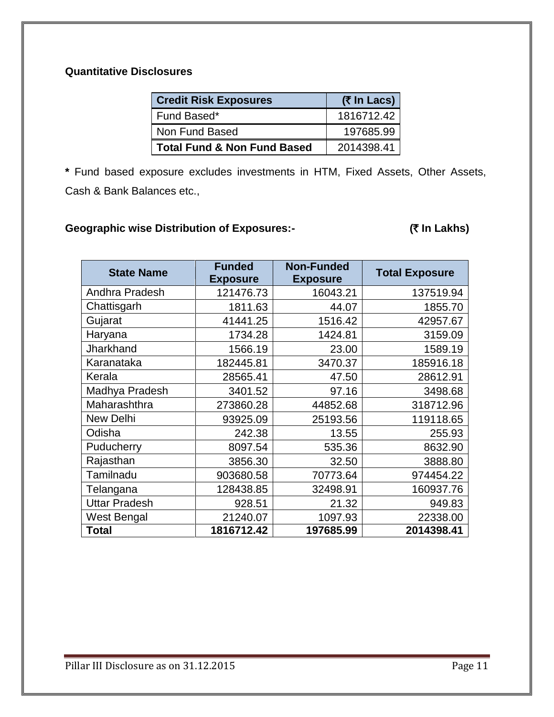# **Quantitative Disclosures**

| <b>Credit Risk Exposures</b>           | (₹ In Lacs) |
|----------------------------------------|-------------|
| Fund Based*                            | 1816712.42  |
| Non Fund Based                         | 197685.99   |
| <b>Total Fund &amp; Non Fund Based</b> | 2014398.41  |

**\*** Fund based exposure excludes investments in HTM, Fixed Assets, Other Assets, Cash & Bank Balances etc.,

# Geographic wise Distribution of Exposures:- **In Community (₹ In Lakhs)**

| <b>State Name</b>    | <b>Funded</b><br><b>Exposure</b> | <b>Non-Funded</b><br><b>Exposure</b> | <b>Total Exposure</b> |
|----------------------|----------------------------------|--------------------------------------|-----------------------|
| Andhra Pradesh       | 121476.73                        | 16043.21                             | 137519.94             |
| Chattisgarh          | 1811.63                          | 44.07                                | 1855.70               |
| Gujarat              | 41441.25                         | 1516.42                              | 42957.67              |
| Haryana              | 1734.28                          | 1424.81                              | 3159.09               |
| Jharkhand            | 1566.19                          | 23.00                                | 1589.19               |
| Karanataka           | 182445.81                        | 3470.37                              | 185916.18             |
| Kerala               | 28565.41                         | 47.50                                | 28612.91              |
| Madhya Pradesh       | 3401.52                          | 97.16                                | 3498.68               |
| Maharashthra         | 273860.28                        | 44852.68                             | 318712.96             |
| <b>New Delhi</b>     | 93925.09                         | 25193.56                             | 119118.65             |
| Odisha               | 242.38                           | 13.55                                | 255.93                |
| Puducherry           | 8097.54                          | 535.36                               | 8632.90               |
| Rajasthan            | 3856.30                          | 32.50                                | 3888.80               |
| Tamilnadu            | 903680.58                        | 70773.64                             | 974454.22             |
| Telangana            | 128438.85                        | 32498.91                             | 160937.76             |
| <b>Uttar Pradesh</b> | 928.51                           | 21.32                                | 949.83                |
| West Bengal          | 21240.07                         | 1097.93                              | 22338.00              |
| <b>Total</b>         | 1816712.42                       | 197685.99                            | 2014398.41            |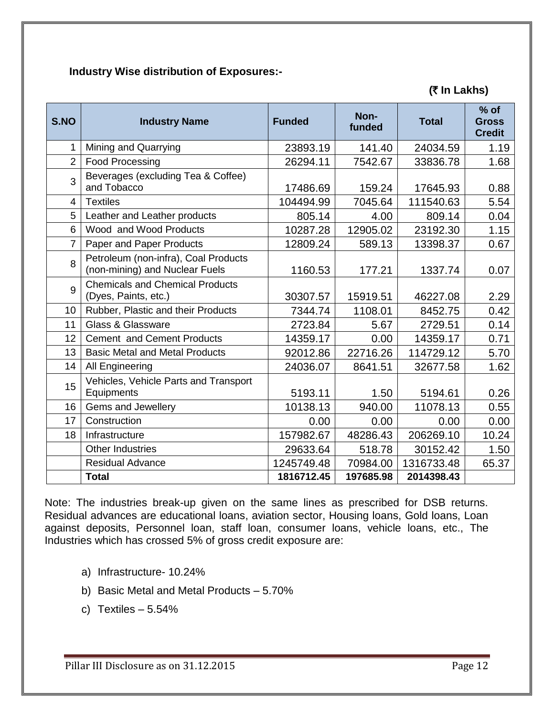# **Industry Wise distribution of Exposures:-**

| S.NO           | <b>Industry Name</b>                                                   | <b>Funded</b> | Non-<br>funded | <b>Total</b> | $%$ of<br><b>Gross</b><br><b>Credit</b> |
|----------------|------------------------------------------------------------------------|---------------|----------------|--------------|-----------------------------------------|
| $\mathbf 1$    | Mining and Quarrying                                                   | 23893.19      | 141.40         | 24034.59     | 1.19                                    |
| 2              | <b>Food Processing</b>                                                 | 26294.11      | 7542.67        | 33836.78     | 1.68                                    |
| 3              | Beverages (excluding Tea & Coffee)<br>and Tobacco                      | 17486.69      | 159.24         | 17645.93     | 0.88                                    |
| $\overline{4}$ | <b>Textiles</b>                                                        | 104494.99     | 7045.64        | 111540.63    | 5.54                                    |
| 5              | Leather and Leather products                                           | 805.14        | 4.00           | 809.14       | 0.04                                    |
| 6              | Wood and Wood Products                                                 | 10287.28      | 12905.02       | 23192.30     | 1.15                                    |
| $\overline{7}$ | Paper and Paper Products                                               | 12809.24      | 589.13         | 13398.37     | 0.67                                    |
| 8              | Petroleum (non-infra), Coal Products<br>(non-mining) and Nuclear Fuels | 1160.53       | 177.21         | 1337.74      | 0.07                                    |
| 9              | <b>Chemicals and Chemical Products</b><br>(Dyes, Paints, etc.)         | 30307.57      | 15919.51       | 46227.08     | 2.29                                    |
| 10             | Rubber, Plastic and their Products                                     | 7344.74       | 1108.01        | 8452.75      | 0.42                                    |
| 11             | Glass & Glassware                                                      | 2723.84       | 5.67           | 2729.51      | 0.14                                    |
| 12             | <b>Cement and Cement Products</b>                                      | 14359.17      | 0.00           | 14359.17     | 0.71                                    |
| 13             | <b>Basic Metal and Metal Products</b>                                  | 92012.86      | 22716.26       | 114729.12    | 5.70                                    |
| 14             | All Engineering                                                        | 24036.07      | 8641.51        | 32677.58     | 1.62                                    |
| 15             | Vehicles, Vehicle Parts and Transport<br>Equipments                    | 5193.11       | 1.50           | 5194.61      | 0.26                                    |
| 16             | Gems and Jewellery                                                     | 10138.13      | 940.00         | 11078.13     | 0.55                                    |
| 17             | Construction                                                           | 0.00          | 0.00           | 0.00         | 0.00                                    |
| 18             | Infrastructure                                                         | 157982.67     | 48286.43       | 206269.10    | 10.24                                   |
|                | <b>Other Industries</b>                                                | 29633.64      | 518.78         | 30152.42     | 1.50                                    |
|                | <b>Residual Advance</b>                                                | 1245749.48    | 70984.00       | 1316733.48   | 65.37                                   |
|                | <b>Total</b>                                                           | 1816712.45    | 197685.98      | 2014398.43   |                                         |

 **(**` **In Lakhs)**

Note: The industries break-up given on the same lines as prescribed for DSB returns. Residual advances are educational loans, aviation sector, Housing loans, Gold loans, Loan against deposits, Personnel loan, staff loan, consumer loans, vehicle loans, etc., The Industries which has crossed 5% of gross credit exposure are:

- a) Infrastructure- 10.24%
- b) Basic Metal and Metal Products 5.70%
- c) Textiles  $-5.54%$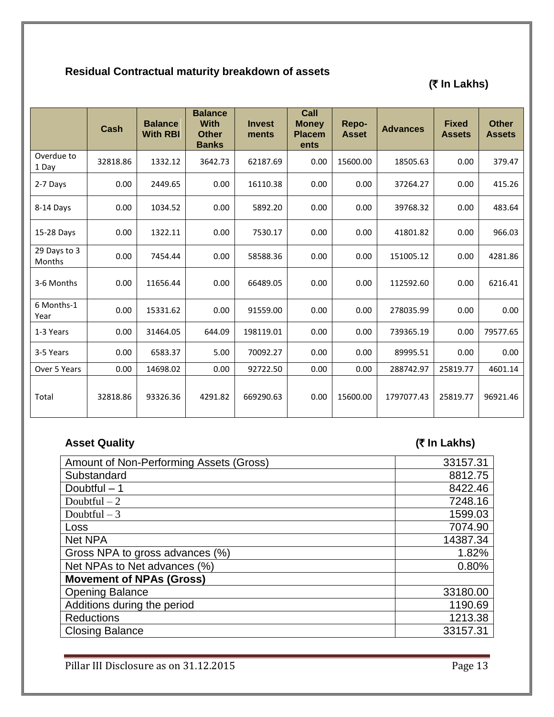# **Residual Contractual maturity breakdown of assets**

# **(**` **In Lakhs)**

|                        | Cash     | <b>Balance</b><br><b>With RBI</b> | <b>Balance</b><br><b>With</b><br><b>Other</b><br><b>Banks</b> | <b>Invest</b><br>ments | Call<br><b>Money</b><br><b>Placem</b><br>ents | Repo-<br><b>Asset</b> | <b>Advances</b> | <b>Fixed</b><br><b>Assets</b> | <b>Other</b><br><b>Assets</b> |
|------------------------|----------|-----------------------------------|---------------------------------------------------------------|------------------------|-----------------------------------------------|-----------------------|-----------------|-------------------------------|-------------------------------|
| Overdue to<br>1 Day    | 32818.86 | 1332.12                           | 3642.73                                                       | 62187.69               | 0.00                                          | 15600.00              | 18505.63        | 0.00                          | 379.47                        |
| 2-7 Days               | 0.00     | 2449.65                           | 0.00                                                          | 16110.38               | 0.00                                          | 0.00                  | 37264.27        | 0.00                          | 415.26                        |
| 8-14 Days              | 0.00     | 1034.52                           | 0.00                                                          | 5892.20                | 0.00                                          | 0.00                  | 39768.32        | 0.00                          | 483.64                        |
| 15-28 Days             | 0.00     | 1322.11                           | 0.00                                                          | 7530.17                | 0.00                                          | 0.00                  | 41801.82        | 0.00                          | 966.03                        |
| 29 Days to 3<br>Months | 0.00     | 7454.44                           | 0.00                                                          | 58588.36               | 0.00                                          | 0.00                  | 151005.12       | 0.00                          | 4281.86                       |
| 3-6 Months             | 0.00     | 11656.44                          | 0.00                                                          | 66489.05               | 0.00                                          | 0.00                  | 112592.60       | 0.00                          | 6216.41                       |
| 6 Months-1<br>Year     | 0.00     | 15331.62                          | 0.00                                                          | 91559.00               | 0.00                                          | 0.00                  | 278035.99       | 0.00                          | 0.00                          |
| 1-3 Years              | 0.00     | 31464.05                          | 644.09                                                        | 198119.01              | 0.00                                          | 0.00                  | 739365.19       | 0.00                          | 79577.65                      |
| 3-5 Years              | 0.00     | 6583.37                           | 5.00                                                          | 70092.27               | 0.00                                          | 0.00                  | 89995.51        | 0.00                          | 0.00                          |
| Over 5 Years           | 0.00     | 14698.02                          | 0.00                                                          | 92722.50               | 0.00                                          | 0.00                  | 288742.97       | 25819.77                      | 4601.14                       |
| Total                  | 32818.86 | 93326.36                          | 4291.82                                                       | 669290.63              | 0.00                                          | 15600.00              | 1797077.43      | 25819.77                      | 96921.46                      |

# **Asset Quality (**` **In Lakhs)**

| Amount of Non-Performing Assets (Gross) | 33157.31 |
|-----------------------------------------|----------|
| Substandard                             | 8812.75  |
| Doubtful - 1                            | 8422.46  |
| Doubtful $-2$                           | 7248.16  |
| Doubtful $-3$                           | 1599.03  |
| <b>Loss</b>                             | 7074.90  |
| <b>Net NPA</b>                          | 14387.34 |
| Gross NPA to gross advances (%)         | 1.82%    |
| Net NPAs to Net advances (%)            | 0.80%    |
| <b>Movement of NPAs (Gross)</b>         |          |
| <b>Opening Balance</b>                  | 33180.00 |
| Additions during the period             | 1190.69  |
| <b>Reductions</b>                       | 1213.38  |
| <b>Closing Balance</b>                  | 33157.31 |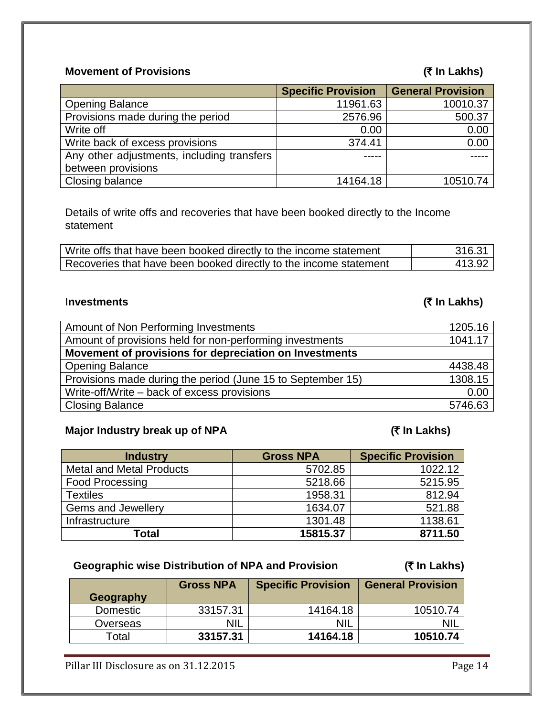# **Movement of Provisions (₹ In Lakhs)**

|                                            | <b>Specific Provision</b> | <b>General Provision</b> |
|--------------------------------------------|---------------------------|--------------------------|
| <b>Opening Balance</b>                     | 11961.63                  | 10010.37                 |
| Provisions made during the period          | 2576.96                   | 500.37                   |
| Write off                                  | 0.00                      | 0.00                     |
| Write back of excess provisions            | 374.41                    | 0.00                     |
| Any other adjustments, including transfers |                           |                          |
| between provisions                         |                           |                          |
| Closing balance                            | 14164.18                  | 10510.74                 |

Details of write offs and recoveries that have been booked directly to the Income statement

| Write offs that have been booked directly to the income statement | 316.31 |
|-------------------------------------------------------------------|--------|
| Recoveries that have been booked directly to the income statement | 413.92 |

# I**nvestments (**` **In Lakhs)**

| Amount of Non Performing Investments                        | 1205.16 |
|-------------------------------------------------------------|---------|
| Amount of provisions held for non-performing investments    | 1041.17 |
| Movement of provisions for depreciation on Investments      |         |
| <b>Opening Balance</b>                                      | 4438.48 |
| Provisions made during the period (June 15 to September 15) | 1308.15 |
| Write-off/Write – back of excess provisions                 | 0.00    |
| <b>Closing Balance</b>                                      | 5746.63 |

# **Major Industry break up of NPA** (₹ In Lakhs)

| <b>Industry</b>                 | <b>Gross NPA</b> | <b>Specific Provision</b> |
|---------------------------------|------------------|---------------------------|
| <b>Metal and Metal Products</b> | 5702.85          | 1022.12                   |
| <b>Food Processing</b>          | 5218.66          | 5215.95                   |
| <b>Textiles</b>                 | 1958.31          | 812.94                    |
| <b>Gems and Jewellery</b>       | 1634.07          | 521.88                    |
| Infrastructure                  | 1301.48          | 1138.61                   |
| Total                           | 15815.37         | 8711.50                   |

# **Geographic wise Distribution of NPA and Provision (₹ In Lakhs)**

| Geography | <b>Gross NPA</b> | <b>Specific Provision</b> | <b>General Provision</b> |
|-----------|------------------|---------------------------|--------------------------|
| Domestic  | 33157.31         | 14164.18                  | 10510.74                 |
| Overseas  | <b>NIL</b>       | <b>NIL</b>                |                          |
| Total     | 33157.31         | 14164.18                  | 10510.74                 |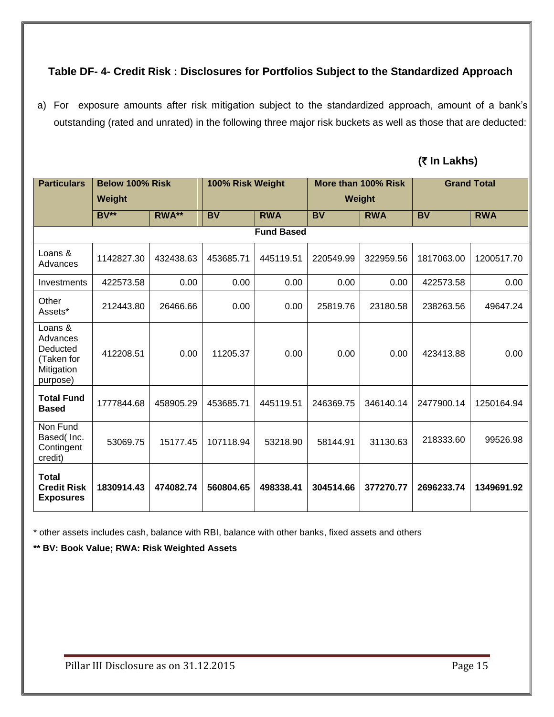# **Table DF- 4- Credit Risk : Disclosures for Portfolios Subject to the Standardized Approach**

a) For exposure amounts after risk mitigation subject to the standardized approach, amount of a bank's outstanding (rated and unrated) in the following three major risk buckets as well as those that are deducted:

# **(**` **In Lakhs)**

| <b>Particulars</b>                                                      | Below 100% Risk   |           | 100% Risk Weight |            |           | More than 100% Risk |            | <b>Grand Total</b> |
|-------------------------------------------------------------------------|-------------------|-----------|------------------|------------|-----------|---------------------|------------|--------------------|
|                                                                         | Weight            |           |                  |            |           | Weight              |            |                    |
|                                                                         | <b>BV**</b>       | RWA**     | <b>BV</b>        | <b>RWA</b> | <b>BV</b> | <b>RWA</b>          | <b>BV</b>  | <b>RWA</b>         |
|                                                                         | <b>Fund Based</b> |           |                  |            |           |                     |            |                    |
| Loans &<br>Advances                                                     | 1142827.30        | 432438.63 | 453685.71        | 445119.51  | 220549.99 | 322959.56           | 1817063.00 | 1200517.70         |
| Investments                                                             | 422573.58         | 0.00      | 0.00             | 0.00       | 0.00      | 0.00                | 422573.58  | 0.00               |
| Other<br>Assets*                                                        | 212443.80         | 26466.66  | 0.00             | 0.00       | 25819.76  | 23180.58            | 238263.56  | 49647.24           |
| Loans &<br>Advances<br>Deducted<br>(Taken for<br>Mitigation<br>purpose) | 412208.51         | 0.00      | 11205.37         | 0.00       | 0.00      | 0.00                | 423413.88  | 0.00               |
| <b>Total Fund</b><br><b>Based</b>                                       | 1777844.68        | 458905.29 | 453685.71        | 445119.51  | 246369.75 | 346140.14           | 2477900.14 | 1250164.94         |
| Non Fund<br>Based( Inc.<br>Contingent<br>credit)                        | 53069.75          | 15177.45  | 107118.94        | 53218.90   | 58144.91  | 31130.63            | 218333.60  | 99526.98           |
| <b>Total</b><br><b>Credit Risk</b><br><b>Exposures</b>                  | 1830914.43        | 474082.74 | 560804.65        | 498338.41  | 304514.66 | 377270.77           | 2696233.74 | 1349691.92         |

\* other assets includes cash, balance with RBI, balance with other banks, fixed assets and others

**\*\* BV: Book Value; RWA: Risk Weighted Assets**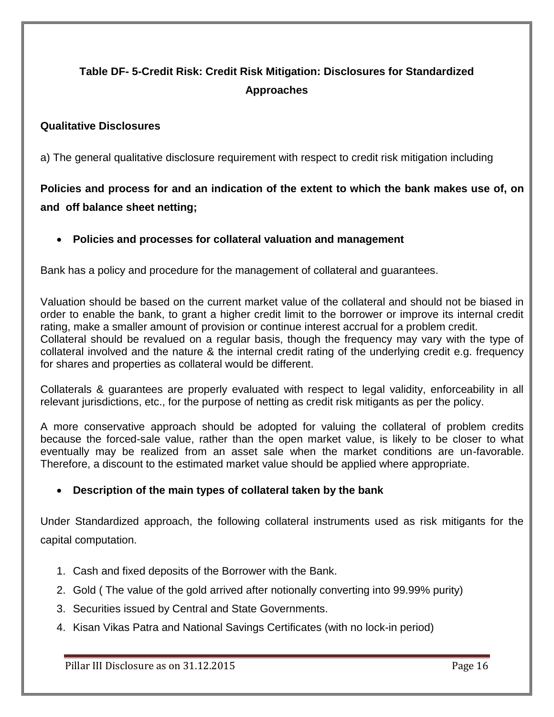# **Table DF- 5-Credit Risk: Credit Risk Mitigation: Disclosures for Standardized Approaches**

# **Qualitative Disclosures**

a) The general qualitative disclosure requirement with respect to credit risk mitigation including

# **Policies and process for and an indication of the extent to which the bank makes use of, on and off balance sheet netting;**

# **Policies and processes for collateral valuation and management**

Bank has a policy and procedure for the management of collateral and guarantees.

Valuation should be based on the current market value of the collateral and should not be biased in order to enable the bank, to grant a higher credit limit to the borrower or improve its internal credit rating, make a smaller amount of provision or continue interest accrual for a problem credit. Collateral should be revalued on a regular basis, though the frequency may vary with the type of collateral involved and the nature & the internal credit rating of the underlying credit e.g. frequency for shares and properties as collateral would be different.

Collaterals & guarantees are properly evaluated with respect to legal validity, enforceability in all relevant jurisdictions, etc., for the purpose of netting as credit risk mitigants as per the policy.

A more conservative approach should be adopted for valuing the collateral of problem credits because the forced-sale value, rather than the open market value, is likely to be closer to what eventually may be realized from an asset sale when the market conditions are un-favorable. Therefore, a discount to the estimated market value should be applied where appropriate.

# **Description of the main types of collateral taken by the bank**

Under Standardized approach, the following collateral instruments used as risk mitigants for the capital computation.

- 1. Cash and fixed deposits of the Borrower with the Bank.
- 2. Gold ( The value of the gold arrived after notionally converting into 99.99% purity)
- 3. Securities issued by Central and State Governments.
- 4. Kisan Vikas Patra and National Savings Certificates (with no lock-in period)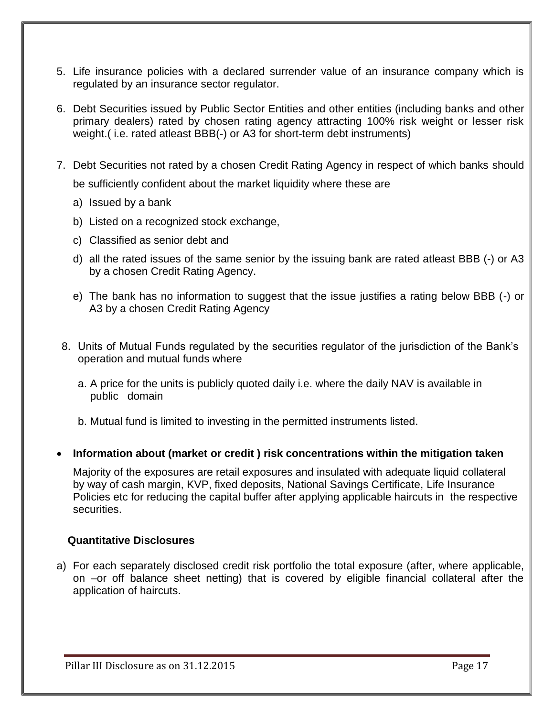- 5. Life insurance policies with a declared surrender value of an insurance company which is regulated by an insurance sector regulator.
- 6. Debt Securities issued by Public Sector Entities and other entities (including banks and other primary dealers) rated by chosen rating agency attracting 100% risk weight or lesser risk weight.( i.e. rated atleast BBB(-) or A3 for short-term debt instruments)
- 7. Debt Securities not rated by a chosen Credit Rating Agency in respect of which banks should be sufficiently confident about the market liquidity where these are
	- a) Issued by a bank
	- b) Listed on a recognized stock exchange,
	- c) Classified as senior debt and
	- d) all the rated issues of the same senior by the issuing bank are rated atleast BBB (-) or A3 by a chosen Credit Rating Agency.
	- e) The bank has no information to suggest that the issue justifies a rating below BBB (-) or A3 by a chosen Credit Rating Agency
- 8. Units of Mutual Funds regulated by the securities regulator of the jurisdiction of the Bank's operation and mutual funds where
	- a. A price for the units is publicly quoted daily i.e. where the daily NAV is available in public domain

b. Mutual fund is limited to investing in the permitted instruments listed.

**Information about (market or credit ) risk concentrations within the mitigation taken**

Majority of the exposures are retail exposures and insulated with adequate liquid collateral by way of cash margin, KVP, fixed deposits, National Savings Certificate, Life Insurance Policies etc for reducing the capital buffer after applying applicable haircuts in the respective securities.

### **Quantitative Disclosures**

a) For each separately disclosed credit risk portfolio the total exposure (after, where applicable, on –or off balance sheet netting) that is covered by eligible financial collateral after the application of haircuts.